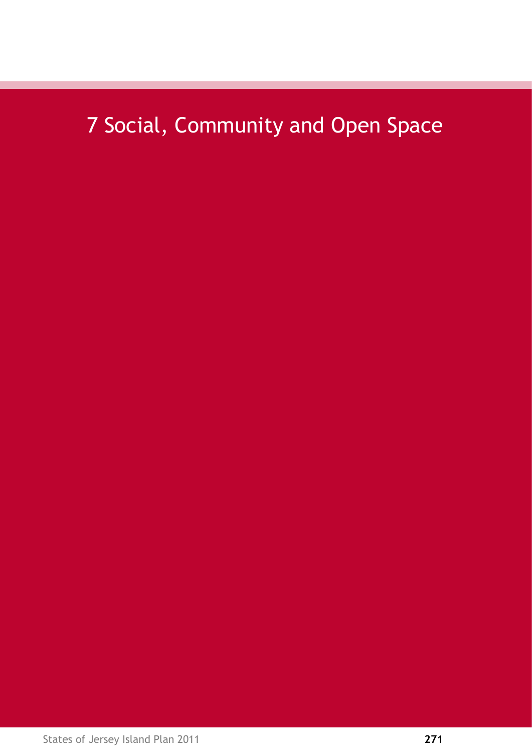# 7 Social, Community and Open Space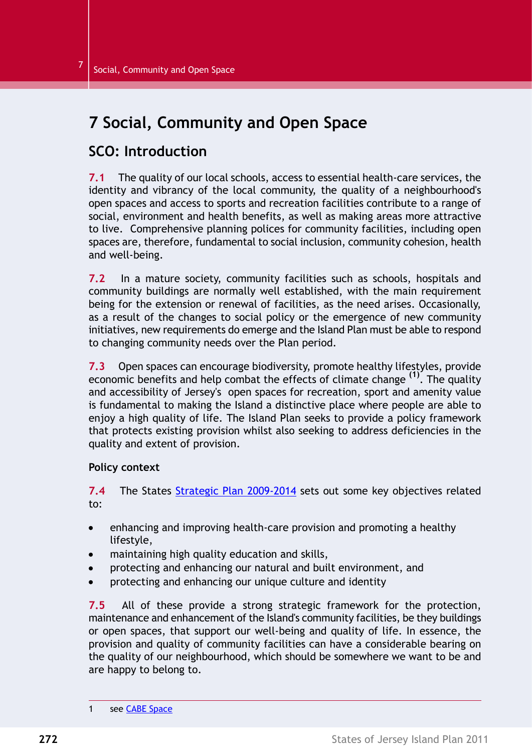# **7 Social, Community and Open Space**

# **SCO: Introduction**

**7.1** The quality of our local schools, access to essential health-care services, the identity and vibrancy of the local community, the quality of a neighbourhood's open spaces and access to sports and recreation facilities contribute to a range of social, environment and health benefits, as well as making areas more attractive to live. Comprehensive planning polices for community facilities, including open spaces are, therefore, fundamental to social inclusion, community cohesion, health and well-being.

**7.2** In a mature society, community facilities such as schools, hospitals and community buildings are normally well established, with the main requirement being for the extension or renewal of facilities, as the need arises. Occasionally, as a result of the changes to social policy or the emergence of new community initiatives, new requirements do emerge and the Island Plan must be able to respond to changing community needs over the Plan period.

**7.3** Open spaces can encourage biodiversity, promote healthy lifestyles, provide economic benefits and help combat the effects of climate change **(1)** . The quality and accessibility of Jersey's open spaces for recreation, sport and amenity value is fundamental to making the Island a distinctive place where people are able to enjoy a high quality of life. The Island Plan seeks to provide a policy framework that protects existing provision whilst also seeking to address deficiencies in the quality and extent of provision.

#### **Policy context**

**7.4** The States Strategic Plan [2009-2014](http://www.gov.je/GOVERNMENT/PLANNINGPERFORMANCE/STRATEGICPLANNING/Pages/index.aspx) sets out some key objectives related to:

- enhancing and improving health-care provision and promoting a healthy  $\bullet$ lifestyle,
- maintaining high quality education and skills,
- protecting and enhancing our natural and built environment, and
- protecting and enhancing our unique culture and identity

**7.5** All of these provide a strong strategic framework for the protection, maintenance and enhancement of the Island's community facilities, be they buildings or open spaces, that support our well-being and quality of life. In essence, the provision and quality of community facilities can have a considerable bearing on the quality of our neighbourhood, which should be somewhere we want to be and are happy to belong to.

<sup>1</sup> see CABE Space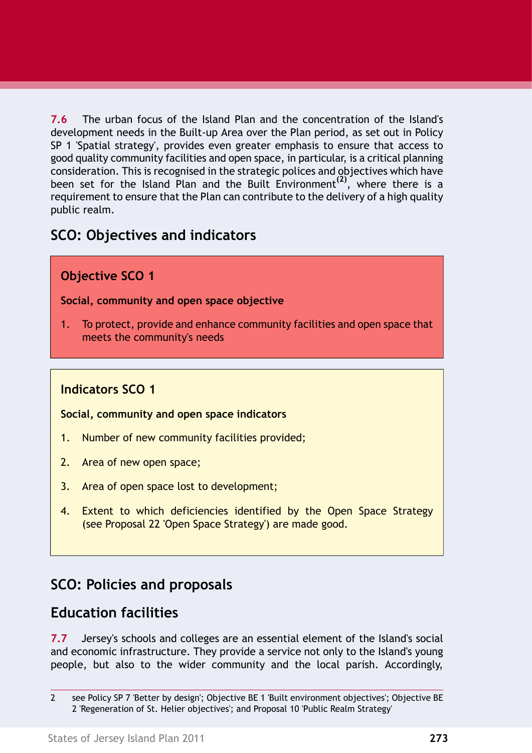**7.6** The urban focus of the Island Plan and the concentration of the Island's development needs in the Built-up Area over the Plan period, as set out in Policy SP 1 'Spatial strategy', provides even greater emphasis to ensure that access to good quality community facilities and open space, in particular, is a critical planning consideration. This is recognised in the strategic polices and objectives which have been set for the Island Plan and the Built Environment**(2)** , where there is a requirement to ensure that the Plan can contribute to the delivery of a high quality public realm.

# **SCO: Objectives and indicators**

### **Objective SCO 1**

#### **Social, community and open space objective**

1. To protect, provide and enhance community facilities and open space that meets the community's needs

### **Indicators SCO 1**

#### **Social, community and open space indicators**

- 1. Number of new community facilities provided;
- 2. Area of new open space;
- 3. Area of open space lost to development;
- 4. Extent to which deficiencies identified by the Open Space Strategy (see Proposal 22 'Open Space [Strategy'\)](#page-15-0) are made good.

# **SCO: Policies and proposals**

# **Education facilities**

**7.7** Jersey's schools and colleges are an essential element of the Island's social and economic infrastructure. They provide a service not only to the Island's young people, but also to the wider community and the local parish. Accordingly,

<sup>2</sup> see Policy SP 7 'Better by design'; Objective BE 1 'Built environment objectives'; Objective BE 2 'Regeneration of St. Helier objectives'; and Proposal 10 'Public Realm Strategy'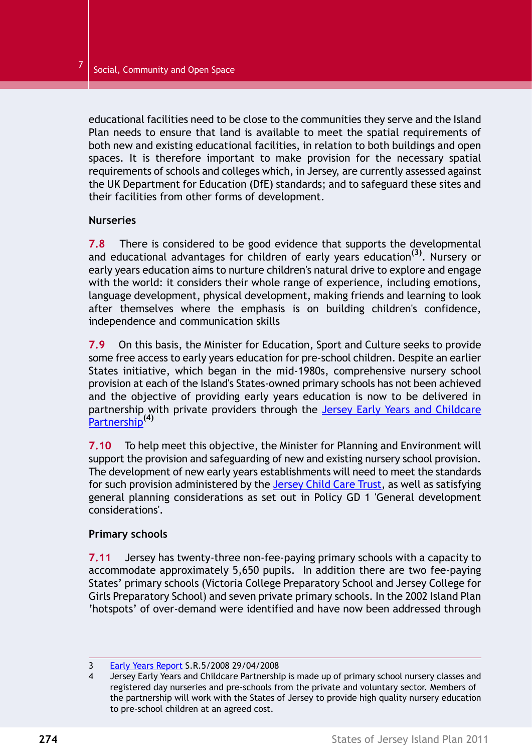educational facilities need to be close to the communities they serve and the Island Plan needs to ensure that land is available to meet the spatial requirements of both new and existing educational facilities, in relation to both buildings and open spaces. It is therefore important to make provision for the necessary spatial requirements of schools and colleges which, in Jersey, are currently assessed against the UK Department for Education (DfE) standards; and to safeguard these sites and their facilities from other forms of development.

#### **Nurseries**

**7.8** There is considered to be good evidence that supports the developmental and educational advantages for children of early years education**(3)** . Nursery or early years education aims to nurture children's natural drive to explore and engage with the world: it considers their whole range of experience, including emotions, language development, physical development, making friends and learning to look after themselves where the emphasis is on building children's confidence, independence and communication skills

**7.9** On this basis, the Minister for Education, Sport and Culture seeks to provide some free access to early years education for pre-school children. Despite an earlier States initiative, which began in the mid-1980s, comprehensive nursery school provision at each of the Island's States-owned primary schools has not been achieved and the objective of providing early years education is now to be delivered in partnership with private providers through the Jersey Early Years and Childcare Partnership**(4)**

**7.10** To help meet this objective, the Minister for Planning and Environment will support the provision and safeguarding of new and existing nursery school provision. The development of new early years establishments will need to meet the standards for such provision administered by the Jersey Child Care Trust, as well as satisfying general planning considerations as set out in Policy GD 1 'General development considerations'.

#### **Primary schools**

**7.11** Jersey has twenty-three non-fee-paying primary schools with a capacity to accommodate approximately 5,650 pupils. In addition there are two fee-paying States' primary schools (Victoria College Preparatory School and Jersey College for Girls Preparatory School) and seven private primary schools. In the 2002 Island Plan 'hotspots' of over-demand were identified and have now been addressed through

<sup>3</sup> Early Years Report S.R.5/2008 29/04/2008

<sup>4</sup> Jersey Early Years and Childcare Partnership is made up of primary school nursery classes and registered day nurseries and pre-schools from the private and voluntary sector. Members of the partnership will work with the States of Jersey to provide high quality nursery education to pre-school children at an agreed cost.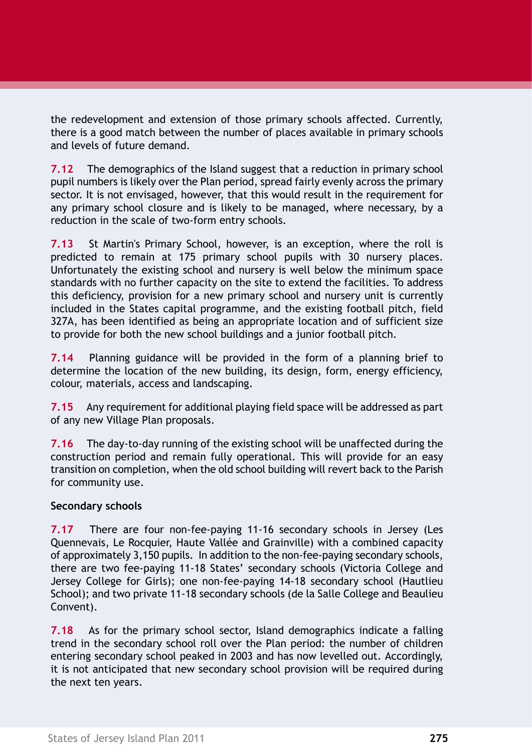the redevelopment and extension of those primary schools affected. Currently, there is a good match between the number of places available in primary schools and levels of future demand.

**7.12** The demographics of the Island suggest that a reduction in primary school pupil numbers is likely over the Plan period, spread fairly evenly across the primary sector. It is not envisaged, however, that this would result in the requirement for any primary school closure and is likely to be managed, where necessary, by a reduction in the scale of two-form entry schools.

**7.13** St Martin's Primary School, however, is an exception, where the roll is predicted to remain at 175 primary school pupils with 30 nursery places. Unfortunately the existing school and nursery is well below the minimum space standards with no further capacity on the site to extend the facilities. To address this deficiency, provision for a new primary school and nursery unit is currently included in the States capital programme, and the existing football pitch, field 327A, has been identified as being an appropriate location and of sufficient size to provide for both the new school buildings and a junior football pitch.

**7.14** Planning guidance will be provided in the form of a planning brief to determine the location of the new building, its design, form, energy efficiency, colour, materials, access and landscaping.

**7.15** Any requirement for additional playing field space will be addressed as part of any new Village Plan proposals.

**7.16** The day-to-day running of the existing school will be unaffected during the construction period and remain fully operational. This will provide for an easy transition on completion, when the old school building will revert back to the Parish for community use.

#### **Secondary schools**

**7.17** There are four non-fee-paying 11-16 secondary schools in Jersey (Les Quennevais, Le Rocquier, Haute Vallée and Grainville) with a combined capacity of approximately 3,150 pupils. In addition to the non-fee-paying secondary schools, there are two fee-paying 11-18 States' secondary schools (Victoria College and Jersey College for Girls); one non-fee-paying 14-18 secondary school (Hautlieu School); and two private 11-18 secondary schools (de la Salle College and Beaulieu Convent).

**7.18** As for the primary school sector, Island demographics indicate a falling trend in the secondary school roll over the Plan period: the number of children entering secondary school peaked in 2003 and has now levelled out. Accordingly, it is not anticipated that new secondary school provision will be required during the next ten years.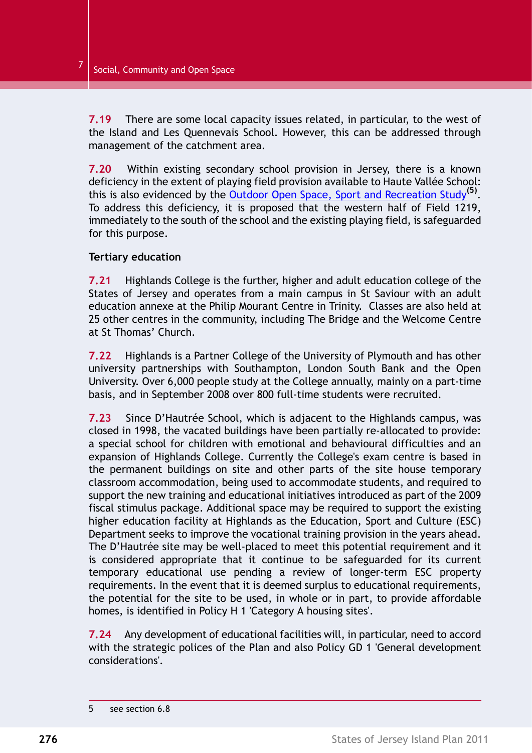**7.19** There are some local capacity issues related, in particular, to the west of the Island and Les Quennevais School. However, this can be addressed through management of the catchment area.

**7.20** Within existing secondary school provision in Jersey, there is a known deficiency in the extent of playing field provision available to Haute Vallée School: this is also evidenced by the Outdoor Open Space, Sport and [Recreation](http://www.gov.je/PlanningBuilding/LawsRegs/IslandPlan/IslandPlanReview/Pages/BackgroundPapers.aspx) Study**(5)** . To address this deficiency, it is proposed that the western half of Field 1219, immediately to the south of the school and the existing playing field, is safeguarded for this purpose.

#### **Tertiary education**

**7.21** Highlands College is the further, higher and adult education college of the States of Jersey and operates from a main campus in St Saviour with an adult education annexe at the Philip Mourant Centre in Trinity. Classes are also held at 25 other centres in the community, including The Bridge and the Welcome Centre at St Thomas' Church.

**7.22** Highlands is a Partner College of the University of Plymouth and has other university partnerships with Southampton, London South Bank and the Open University. Over 6,000 people study at the College annually, mainly on a part-time basis, and in September 2008 over 800 full-time students were recruited.

**7.23** Since D'Hautrée School, which is adjacent to the Highlands campus, was closed in 1998, the vacated buildings have been partially re-allocated to provide: a special school for children with emotional and behavioural difficulties and an expansion of Highlands College. Currently the College's exam centre is based in the permanent buildings on site and other parts of the site house temporary classroom accommodation, being used to accommodate students, and required to support the new training and educational initiatives introduced as part of the 2009 fiscal stimulus package. Additional space may be required to support the existing higher education facility at Highlands as the Education, Sport and Culture (ESC) Department seeks to improve the vocational training provision in the years ahead. The D'Hautrée site may be well-placed to meet this potential requirement and it is considered appropriate that it continue to be safeguarded for its current temporary educational use pending a review of longer-term ESC property requirements. In the event that it is deemed surplus to educational requirements, the potential for the site to be used, in whole or in part, to provide affordable homes, is identified in Policy H 1 'Category A housing sites'.

**7.24** Any development of educational facilities will, in particular, need to accord with the strategic polices of the Plan and also Policy GD 1 'General development considerations'.

<sup>5</sup> see section 6.8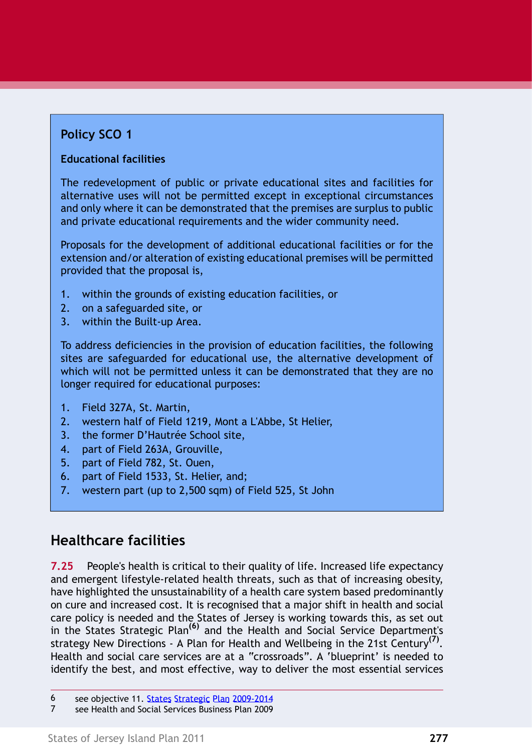# **Policy SCO 1**

### **Educational facilities**

The redevelopment of public or private educational sites and facilities for alternative uses will not be permitted except in exceptional circumstances and only where it can be demonstrated that the premises are surplus to public and private educational requirements and the wider community need.

Proposals for the development of additional educational facilities or for the extension and/or alteration of existing educational premises will be permitted provided that the proposal is,

- 1. within the grounds of existing education facilities, or
- 2. on a safeguarded site, or
- 3. within the Built-up Area.

To address deficiencies in the provision of education facilities, the following sites are safeguarded for educational use, the alternative development of which will not be permitted unless it can be demonstrated that they are no longer required for educational purposes:

- 1. Field 327A, St. Martin,
- 2. western half of Field 1219, Mont a L'Abbe, St Helier,
- 3. the former D'Hautrée School site,
- 4. part of Field 263A, Grouville,
- 5. part of Field 782, St. Ouen,
- 6. part of Field 1533, St. Helier, and;
- 7. western part (up to 2,500 sqm) of Field 525, St John

# **Healthcare facilities**

**7.25** People's health is critical to their quality of life. Increased life expectancy and emergent lifestyle-related health threats, such as that of increasing obesity, have highlighted the unsustainability of a health care system based predominantly on cure and increased cost. It is recognised that a major shift in health and social care policy is needed and the States of Jersey is working towards this, as set out in the States Strategic Plan**(6)** and the Health and Social Service Department's strategy New Directions - A Plan for Health and Wellbeing in the 21st Century**(7)** . Health and social care services are at a "crossroads". A 'blueprint' is needed to identify the best, and most effective, way to deliver the most essential services

<sup>6</sup> see objective 11. States Strategic Plan [2009-2014](http://www.gov.je/Government/Pages/StatesReports.aspx?ReportID=237)

<sup>7</sup> see Health and Social Services Business Plan 2009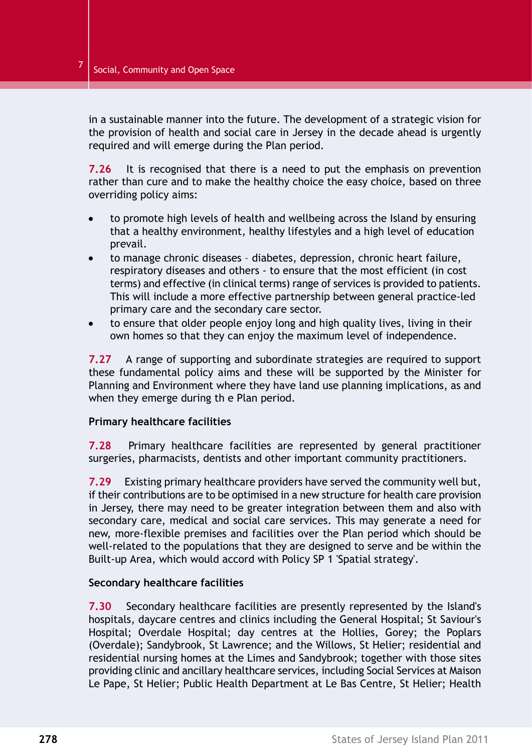in a sustainable manner into the future. The development of a strategic vision for the provision of health and social care in Jersey in the decade ahead is urgently required and will emerge during the Plan period.

**7.26** It is recognised that there is a need to put the emphasis on prevention rather than cure and to make the healthy choice the easy choice, based on three overriding policy aims:

- to promote high levels of health and wellbeing across the Island by ensuring that a healthy environment, healthy lifestyles and a high level of education prevail.
- to manage chronic diseases diabetes, depression, chronic heart failure, respiratory diseases and others - to ensure that the most efficient (in cost terms) and effective (in clinical terms) range of services is provided to patients. This will include a more effective partnership between general practice-led primary care and the secondary care sector.
- to ensure that older people enjoy long and high quality lives, living in their own homes so that they can enjoy the maximum level of independence.

**7.27** A range of supporting and subordinate strategies are required to support these fundamental policy aims and these will be supported by the Minister for Planning and Environment where they have land use planning implications, as and when they emerge during th e Plan period.

#### **Primary healthcare facilities**

**7.28** Primary healthcare facilities are represented by general practitioner surgeries, pharmacists, dentists and other important community practitioners.

**7.29** Existing primary healthcare providers have served the community well but, if their contributions are to be optimised in a new structure for health care provision in Jersey, there may need to be greater integration between them and also with secondary care, medical and social care services. This may generate a need for new, more-flexible premises and facilities over the Plan period which should be well-related to the populations that they are designed to serve and be within the Built-up Area, which would accord with Policy SP 1 'Spatial strategy'.

#### **Secondary healthcare facilities**

**7.30** Secondary healthcare facilities are presently represented by the Island's hospitals, daycare centres and clinics including the General Hospital; St Saviour's Hospital; Overdale Hospital; day centres at the Hollies, Gorey; the Poplars (Overdale); Sandybrook, St Lawrence; and the Willows, St Helier; residential and residential nursing homes at the Limes and Sandybrook; together with those sites providing clinic and ancillary healthcare services, including Social Services at Maison Le Pape, St Helier; Public Health Department at Le Bas Centre, St Helier; Health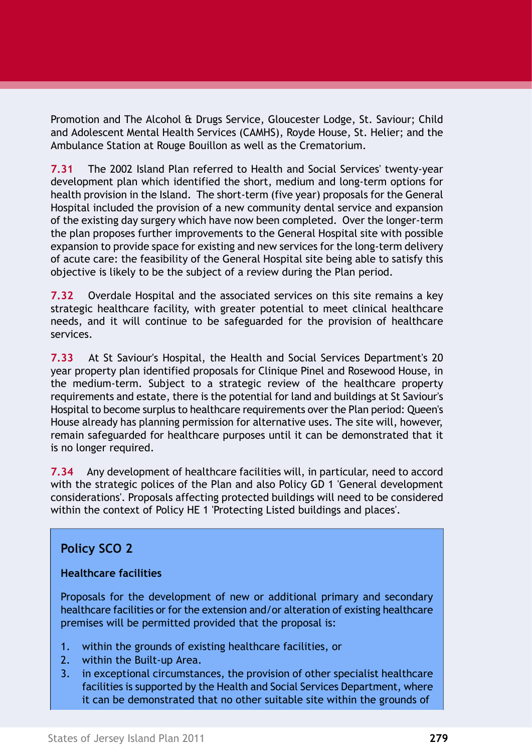Promotion and The Alcohol & Drugs Service, Gloucester Lodge, St. Saviour; Child and Adolescent Mental Health Services (CAMHS), Royde House, St. Helier; and the Ambulance Station at Rouge Bouillon as well as the Crematorium.

**7.31** The 2002 Island Plan referred to Health and Social Services' twenty-year development plan which identified the short, medium and long-term options for health provision in the Island. The short-term (five year) proposals for the General Hospital included the provision of a new community dental service and expansion of the existing day surgery which have now been completed. Over the longer-term the plan proposes further improvements to the General Hospital site with possible expansion to provide space for existing and new services for the long-term delivery of acute care: the feasibility of the General Hospital site being able to satisfy this objective is likely to be the subject of a review during the Plan period.

**7.32** Overdale Hospital and the associated services on this site remains a key strategic healthcare facility, with greater potential to meet clinical healthcare needs, and it will continue to be safeguarded for the provision of healthcare services.

**7.33** At St Saviour's Hospital, the Health and Social Services Department's 20 year property plan identified proposals for Clinique Pinel and Rosewood House, in the medium-term. Subject to a strategic review of the healthcare property requirements and estate, there is the potential for land and buildings at St Saviour's Hospital to become surplus to healthcare requirements over the Plan period: Queen's House already has planning permission for alternative uses. The site will, however, remain safeguarded for healthcare purposes until it can be demonstrated that it is no longer required.

**7.34** Any development of healthcare facilities will, in particular, need to accord with the strategic polices of the Plan and also Policy GD 1 'General development considerations'. Proposals affecting protected buildings will need to be considered within the context of Policy HE 1 'Protecting Listed buildings and places'.

### **Policy SCO 2**

#### **Healthcare facilities**

Proposals for the development of new or additional primary and secondary healthcare facilities or for the extension and/or alteration of existing healthcare premises will be permitted provided that the proposal is:

- 1. within the grounds of existing healthcare facilities, or
- 2. within the Built-up Area.
- 3. in exceptional circumstances, the provision of other specialist healthcare facilities is supported by the Health and Social Services Department, where it can be demonstrated that no other suitable site within the grounds of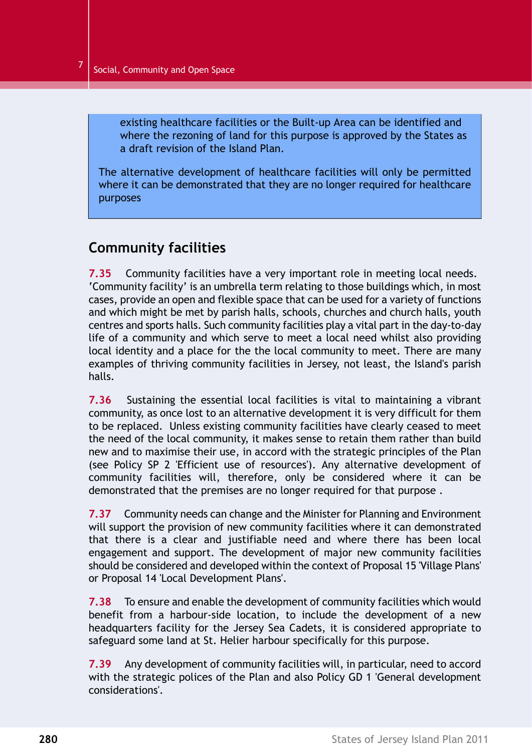existing healthcare facilities or the Built-up Area can be identified and where the rezoning of land for this purpose is approved by the States as a draft revision of the Island Plan.

The alternative development of healthcare facilities will only be permitted where it can be demonstrated that they are no longer required for healthcare purposes

# **Community facilities**

**7.35** Community facilities have a very important role in meeting local needs. 'Community facility' is an umbrella term relating to those buildings which, in most cases, provide an open and flexible space that can be used for a variety of functions and which might be met by parish halls, schools, churches and church halls, youth centres and sports halls. Such community facilities play a vital part in the day-to-day life of a community and which serve to meet a local need whilst also providing local identity and a place for the the local community to meet. There are many examples of thriving community facilities in Jersey, not least, the Island's parish halls.

**7.36** Sustaining the essential local facilities is vital to maintaining a vibrant community, as once lost to an alternative development it is very difficult for them to be replaced. Unless existing community facilities have clearly ceased to meet the need of the local community, it makes sense to retain them rather than build new and to maximise their use, in accord with the strategic principles of the Plan (see Policy SP 2 'Efficient use of resources'). Any alternative development of community facilities will, therefore, only be considered where it can be demonstrated that the premises are no longer required for that purpose .

**7.37** Community needs can change and the Minister for Planning and Environment will support the provision of new community facilities where it can demonstrated that there is a clear and justifiable need and where there has been local engagement and support. The development of major new community facilities should be considered and developed within the context of Proposal 15 'Village Plans' or Proposal 14 'Local Development Plans'.

**7.38** To ensure and enable the development of community facilities which would benefit from a harbour-side location, to include the development of a new headquarters facility for the Jersey Sea Cadets, it is considered appropriate to safeguard some land at St. Helier harbour specifically for this purpose.

**7.39** Any development of community facilities will, in particular, need to accord with the strategic polices of the Plan and also Policy GD 1 'General development considerations'.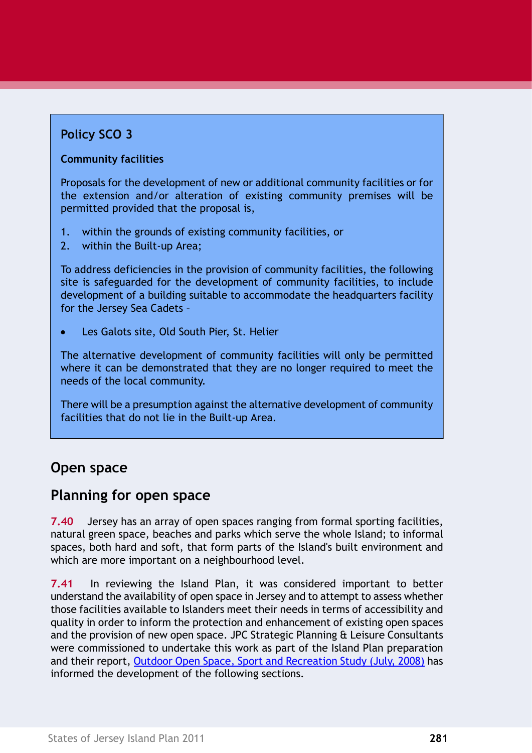# **Policy SCO 3**

### **Community facilities**

Proposals for the development of new or additional community facilities or for the extension and/or alteration of existing community premises will be permitted provided that the proposal is,

- 1. within the grounds of existing community facilities, or
- 2. within the Built-up Area;

To address deficiencies in the provision of community facilities, the following site is safeguarded for the development of community facilities, to include development of a building suitable to accommodate the headquarters facility for the Jersey Sea Cadets –

Les Galots site, Old South Pier, St. Helier

The alternative development of community facilities will only be permitted where it can be demonstrated that they are no longer required to meet the needs of the local community.

There will be a presumption against the alternative development of community facilities that do not lie in the Built-up Area.

# **Open space**

# **Planning for open space**

**7.40** Jersey has an array of open spaces ranging from formal sporting facilities, natural green space, beaches and parks which serve the whole Island; to informal spaces, both hard and soft, that form parts of the Island's built environment and which are more important on a neighbourhood level.

**7.41** In reviewing the Island Plan, it was considered important to better understand the availability of open space in Jersey and to attempt to assess whether those facilities available to Islanders meet their needs in terms of accessibility and quality in order to inform the protection and enhancement of existing open spaces and the provision of new open space. JPC Strategic Planning & Leisure Consultants were commissioned to undertake this work as part of the Island Plan preparation and their report, Outdoor Open Space, Sport and [Recreation](http://www.gov.je/PlanningBuilding/LawsRegs/IslandPlan/IslandPlanReview/Pages/BackgroundPapers.aspx) Study (July, 2008) has informed the development of the following sections.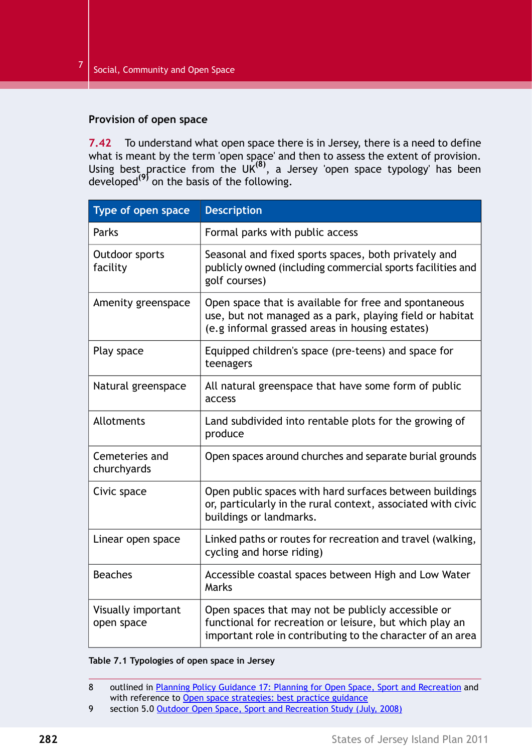#### **Provision of open space**

**7.42** To understand what open space there is in Jersey, there is a need to define what is meant by the term 'open space' and then to assess the extent of provision. Using best practice from the UK<sup>(8)</sup>, a Jersey 'open space typology' has been developed**(9)** on the basis of the following.

<span id="page-11-0"></span>

| Type of open space               | <b>Description</b>                                                                                                                                                          |
|----------------------------------|-----------------------------------------------------------------------------------------------------------------------------------------------------------------------------|
| Parks                            | Formal parks with public access                                                                                                                                             |
| Outdoor sports<br>facility       | Seasonal and fixed sports spaces, both privately and<br>publicly owned (including commercial sports facilities and<br>golf courses)                                         |
| Amenity greenspace               | Open space that is available for free and spontaneous<br>use, but not managed as a park, playing field or habitat<br>(e.g informal grassed areas in housing estates)        |
| Play space                       | Equipped children's space (pre-teens) and space for<br>teenagers                                                                                                            |
| Natural greenspace               | All natural greenspace that have some form of public<br>access                                                                                                              |
| Allotments                       | Land subdivided into rentable plots for the growing of<br>produce                                                                                                           |
| Cemeteries and<br>churchyards    | Open spaces around churches and separate burial grounds                                                                                                                     |
| Civic space                      | Open public spaces with hard surfaces between buildings<br>or, particularly in the rural context, associated with civic<br>buildings or landmarks.                          |
| Linear open space                | Linked paths or routes for recreation and travel (walking,<br>cycling and horse riding)                                                                                     |
| <b>Beaches</b>                   | Accessible coastal spaces between High and Low Water<br>Marks                                                                                                               |
| Visually important<br>open space | Open spaces that may not be publicly accessible or<br>functional for recreation or leisure, but which play an<br>important role in contributing to the character of an area |

#### **Table 7.1 Typologies of open space in Jersey**

<sup>8</sup> outlined in Planning Policy Guidance 17: Planning for Open Space, Sport and [Recreation](https://www.gov.uk/planning-permission-england-wales) and with reference to Open space strategies: best practice guidance

<sup>9</sup> section 5.0 Outdoor Open Space, Sport and [Recreation](http://www.gov.je/PlanningBuilding/LawsRegs/IslandPlan/IslandPlanReview/Pages/BackgroundPapers.aspx) Study (July, 2008)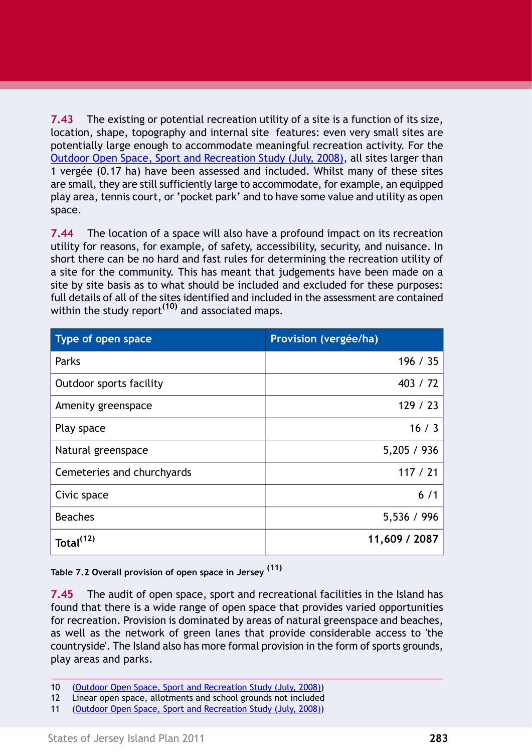**7.43** The existing or potential recreation utility of a site is a function of its size, location, shape, topography and internal site features: even very small sites are potentially large enough to accommodate meaningful recreation activity. For the Outdoor Open Space, Sport and [Recreation](http://www.gov.je/PlanningBuilding/LawsRegs/IslandPlan/IslandPlanReview/Pages/BackgroundPapers.aspx) Study (July, 2008), all sites larger than 1 vergée (0.17 ha) have been assessed and included. Whilst many of these sites are small, they are still sufficiently large to accommodate, for example, an equipped play area, tennis court, or 'pocket park' and to have some value and utility as open space.

**7.44** The location of a space will also have a profound impact on its recreation utility for reasons, for example, of safety, accessibility, security, and nuisance. In short there can be no hard and fast rules for determining the recreation utility of a site for the community. This has meant that judgements have been made on a site by site basis as to what should be included and excluded for these purposes: full details of all of the sites identified and included in the assessment are contained within the study report**(10)** and associated maps.

| Type of open space         | Provision (vergée/ha) |
|----------------------------|-----------------------|
| Parks                      | 196 / 35              |
| Outdoor sports facility    | 403 / 72              |
| Amenity greenspace         | 129/23                |
| Play space                 | 16/3                  |
| Natural greenspace         | 5,205 / 936           |
| Cemeteries and churchyards | 117 / 21              |
| Civic space                | 6/1                   |
| <b>Beaches</b>             | 5,536 / 996           |
| Total <sup>(12)</sup>      | 11,609 / 2087         |

**Table 7.2 Overall provision of open space in Jersey (11)**

**7.45** The audit of open space, sport and recreational facilities in the Island has found that there is a wide range of open space that provides varied opportunities for recreation. Provision is dominated by areas of natural greenspace and beaches, as well as the network of green lanes that provide considerable access to 'the countryside'. The Island also has more formal provision in the form of sports grounds, play areas and parks.

<sup>10</sup> (Outdoor Open Space, Sport and [Recreation](http://www.gov.je/PlanningBuilding/LawsRegs/IslandPlan/IslandPlanReview/Pages/BackgroundPapers.aspx) Study (July, 2008))

<sup>12</sup> Linear open space, allotments and school grounds not included

<sup>11 (</sup>Outdoor Open Space, Sport and [Recreation](http://www.gov.je/PlanningBuilding/LawsRegs/IslandPlan/IslandPlanReview/Pages/BackgroundPapers.aspx) Study (July, 2008))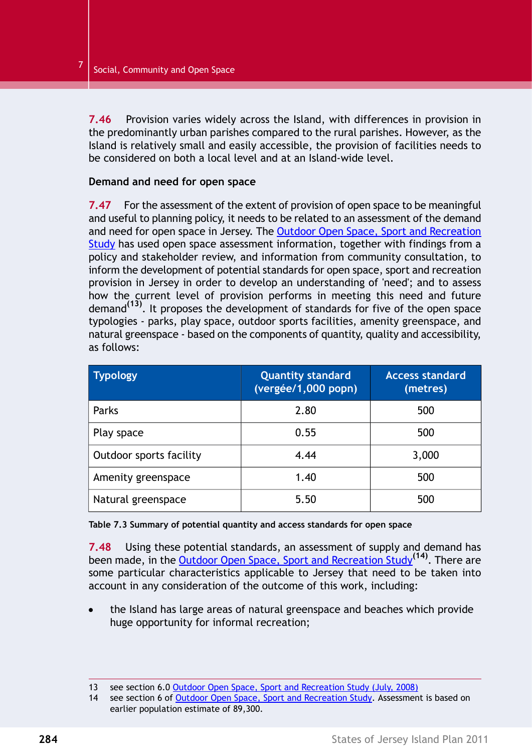**7.46** Provision varies widely across the Island, with differences in provision in the predominantly urban parishes compared to the rural parishes. However, as the Island is relatively small and easily accessible, the provision of facilities needs to be considered on both a local level and at an Island-wide level.

#### **Demand and need for open space**

**7.47** For the assessment of the extent of provision of open space to be meaningful and useful to planning policy, it needs to be related to an assessment of the demand and need for open space in Jersey. The Outdoor Open Space, Sport and [Recreation](http://www.gov.je/PlanningBuilding/LawsRegs/IslandPlan/IslandPlanReview/Pages/BackgroundPapers.aspx) [Study](http://www.gov.je/PlanningBuilding/LawsRegs/IslandPlan/IslandPlanReview/Pages/BackgroundPapers.aspx) has used open space assessment information, together with findings from a policy and stakeholder review, and information from community consultation, to inform the development of potential standards for open space, sport and recreation provision in Jersey in order to develop an understanding of 'need'; and to assess how the current level of provision performs in meeting this need and future demand**(13)** . It proposes the development of standards for five of the open space typologies - parks, play space, outdoor sports facilities, amenity greenspace, and natural greenspace - based on the components of quantity, quality and accessibility, as follows:

| <b>Typology</b>         | <b>Quantity standard</b><br>(vergée/1,000 popn) | <b>Access standard</b><br>(metres) |
|-------------------------|-------------------------------------------------|------------------------------------|
| Parks                   | 2.80                                            | 500                                |
| Play space              | 0.55                                            | 500                                |
| Outdoor sports facility | 4.44                                            | 3,000                              |
| Amenity greenspace      | 1.40                                            | 500                                |
| Natural greenspace      | 5.50                                            | 500                                |

**Table 7.3 Summary of potential quantity and access standards for open space**

**7.48** Using these potential standards, an assessment of supply and demand has been made, in the Outdoor Open Space, Sport and [Recreation](http://www.gov.je/PlanningBuilding/LawsRegs/IslandPlan/IslandPlanReview/Pages/BackgroundPapers.aspx) Study**(14)** . There are some particular characteristics applicable to Jersey that need to be taken into account in any consideration of the outcome of this work, including:

the Island has large areas of natural greenspace and beaches which provide huge opportunity for informal recreation;

<sup>13</sup> see section 6.0 Outdoor Open Space, Sport and [Recreation](http://www.gov.je/PlanningBuilding/LawsRegs/IslandPlan/IslandPlanReview/Pages/BackgroundPapers.aspx) Study (July, 2008)

<sup>14</sup> see section 6 of Outdoor Open Space, Sport and [Recreation](http://www.gov.je/PlanningBuilding/LawsRegs/IslandPlan/IslandPlanReview/Pages/BackgroundPapers.aspx) Study. Assessment is based on earlier population estimate of 89,300.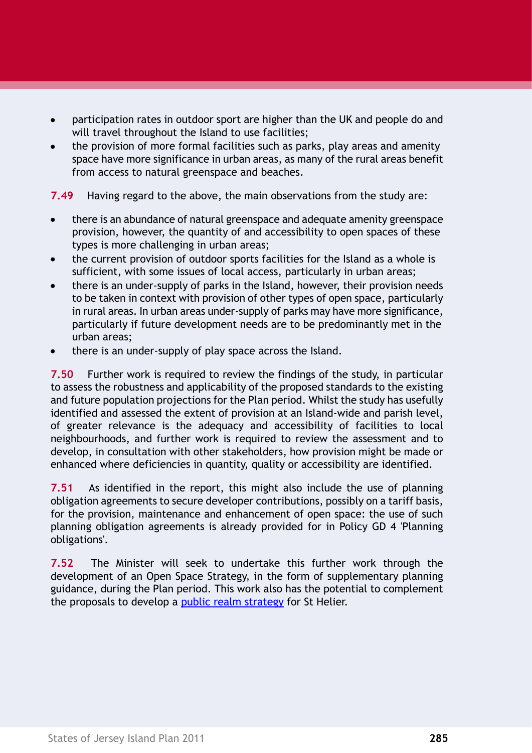- participation rates in outdoor sport are higher than the UK and people do and will travel throughout the Island to use facilities;
- the provision of more formal facilities such as parks, play areas and amenity space have more significance in urban areas, as many of the rural areas benefit from access to natural greenspace and beaches.

**7.49** Having regard to the above, the main observations from the study are:

- there is an abundance of natural greenspace and adequate amenity greenspace  $\bullet$ provision, however, the quantity of and accessibility to open spaces of these types is more challenging in urban areas;
- the current provision of outdoor sports facilities for the Island as a whole is sufficient, with some issues of local access, particularly in urban areas;
- there is an under-supply of parks in the Island, however, their provision needs to be taken in context with provision of other types of open space, particularly in rural areas. In urban areas under-supply of parks may have more significance, particularly if future development needs are to be predominantly met in the urban areas;
- there is an under-supply of play space across the Island.

**7.50** Further work is required to review the findings of the study, in particular to assess the robustness and applicability of the proposed standards to the existing and future population projections for the Plan period. Whilst the study has usefully identified and assessed the extent of provision at an Island-wide and parish level, of greater relevance is the adequacy and accessibility of facilities to local neighbourhoods, and further work is required to review the assessment and to develop, in consultation with other stakeholders, how provision might be made or enhanced where deficiencies in quantity, quality or accessibility are identified.

**7.51** As identified in the report, this might also include the use of planning obligation agreements to secure developer contributions, possibly on a tariff basis, for the provision, maintenance and enhancement of open space: the use of such planning obligation agreements is already provided for in Policy GD 4 'Planning obligations'.

**7.52** The Minister will seek to undertake this further work through the development of an Open Space Strategy, in the form of supplementary planning guidance, during the Plan period. This work also has the potential to complement the proposals to develop a public realm strategy for St Helier.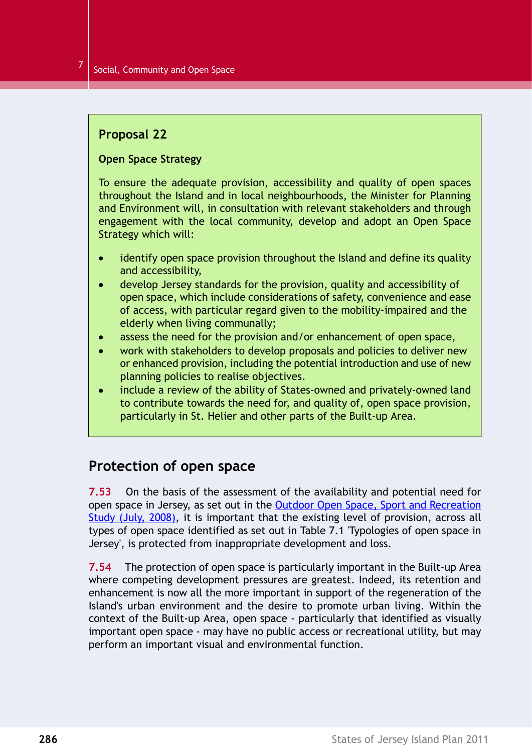### <span id="page-15-0"></span>**Proposal 22**

#### **Open Space Strategy**

To ensure the adequate provision, accessibility and quality of open spaces throughout the Island and in local neighbourhoods, the Minister for Planning and Environment will, in consultation with relevant stakeholders and through engagement with the local community, develop and adopt an Open Space Strategy which will:

- identify open space provision throughout the Island and define its quality  $\bullet$ and accessibility,
- develop Jersey standards for the provision, quality and accessibility of open space, which include considerations of safety, convenience and ease of access, with particular regard given to the mobility-impaired and the elderly when living communally;
- assess the need for the provision and/or enhancement of open space,  $\bullet$
- work with stakeholders to develop proposals and policies to deliver new  $\bullet$ or enhanced provision, including the potential introduction and use of new planning policies to realise objectives.
- include a review of the ability of States-owned and privately-owned land to contribute towards the need for, and quality of, open space provision, particularly in St. Helier and other parts of the Built-up Area.

### **Protection of open space**

**7.53** On the basis of the assessment of the availability and potential need for open space in Jersey, as set out in the Outdoor Open Space, Sport and [Recreation](http://www.gov.je/PlanningBuilding/LawsRegs/IslandPlan/IslandPlanReview/Pages/BackgroundPapers.aspx) Study (July, [2008\),](http://www.gov.je/PlanningBuilding/LawsRegs/IslandPlan/IslandPlanReview/Pages/BackgroundPapers.aspx) it is important that the existing level of provision, across all types of open space identified as set out in Table 7.1 ['Typologies](#page-11-0) of open space in [Jersey'](#page-11-0), is protected from inappropriate development and loss.

**7.54** The protection of open space is particularly important in the Built-up Area where competing development pressures are greatest. Indeed, its retention and enhancement is now all the more important in support of the regeneration of the Island's urban environment and the desire to promote urban living. Within the context of the Built-up Area, open space - particularly that identified as visually important open space - may have no public access or recreational utility, but may perform an important visual and environmental function.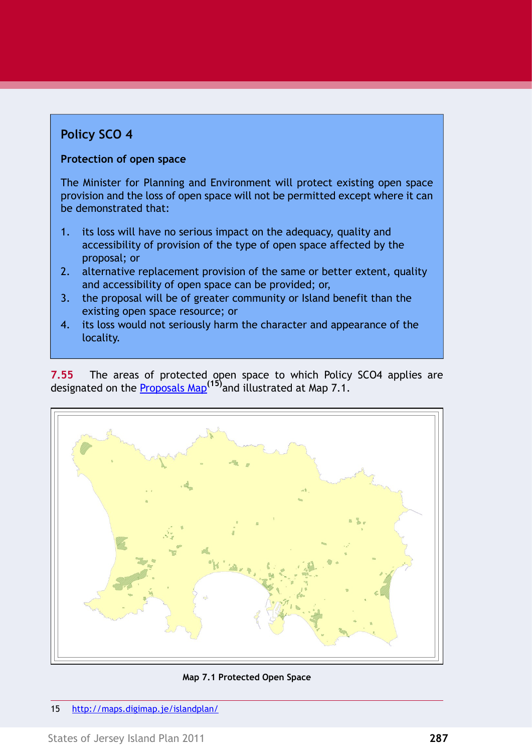# <span id="page-16-0"></span>**Policy SCO 4**

#### **Protection of open space**

The Minister for Planning and Environment will protect existing open space provision and the loss of open space will not be permitted except where it can be demonstrated that:

- 1. its loss will have no serious impact on the adequacy, quality and accessibility of provision of the type of open space affected by the proposal; or
- 2. alternative replacement provision of the same or better extent, quality and accessibility of open space can be provided; or,
- 3. the proposal will be of greater community or Island benefit than the existing open space resource; or
- 4. its loss would not seriously harm the character and appearance of the locality.

**7.55** The areas of protected open space to which Policy SCO4 applies are designated on the [Proposals](http://maps.digimap.je/islandplan/) Map**(15)**and illustrated at Map 7.1.



**Map 7.1 Protected Open Space**

15 <http://maps.digimap.je/islandplan/>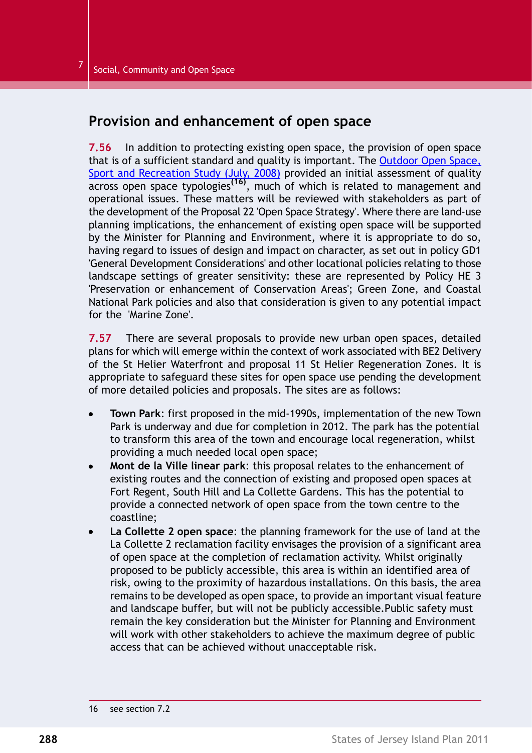### **Provision and enhancement of open space**

**7.56** In addition to protecting existing open space, the provision of open space that is of a sufficient standard and quality is important. The [Outdoor](http://www.gov.je/PLANNINGBUILDING/LAWSREGS/ISLANDPLAN/Pages/default.aspx) Open Space, Sport and [Recreation](http://www.gov.je/planningbuilding/lawsregs/islandplan/islandplanreview/Pages/index.aspx) Study (July, 2008) provided an initial assessment of quality across open space typologies**(16)** , much of which is related to management and operational issues. These matters will be reviewed with stakeholders as part of the development of the Proposal 22 'Open Space [Strategy'.](#page-15-0) Where there are land-use planning implications, the enhancement of existing open space will be supported by the Minister for Planning and Environment, where it is appropriate to do so, having regard to issues of design and impact on character, as set out in policy GD1 'General Development Considerations' and other locational policies relating to those landscape settings of greater sensitivity: these are represented by Policy HE 3 'Preservation or enhancement of Conservation Areas'; Green Zone, and Coastal National Park policies and also that consideration is given to any potential impact for the 'Marine Zone'.

**7.57** There are several proposals to provide new urban open spaces, detailed plans for which will emerge within the context of work associated with BE2 Delivery of the St Helier Waterfront and proposal 11 St Helier Regeneration Zones. It is appropriate to safeguard these sites for open space use pending the development of more detailed policies and proposals. The sites are as follows:

- **Town Park**: first proposed in the mid-1990s, implementation of the new Town Park is underway and due for completion in 2012. The park has the potential to transform this area of the town and encourage local regeneration, whilst providing a much needed local open space;
- **Mont de la Ville linear park**: this proposal relates to the enhancement of existing routes and the connection of existing and proposed open spaces at Fort Regent, South Hill and La Collette Gardens. This has the potential to provide a connected network of open space from the town centre to the coastline;
- **La Collette 2 open space**: the planning framework for the use of land at the La Collette 2 reclamation facility envisages the provision of a significant area of open space at the completion of reclamation activity. Whilst originally proposed to be publicly accessible, this area is within an identified area of risk, owing to the proximity of hazardous installations. On this basis, the area remains to be developed as open space, to provide an important visual feature and landscape buffer, but will not be publicly accessible.Public safety must remain the key consideration but the Minister for Planning and Environment will work with other stakeholders to achieve the maximum degree of public access that can be achieved without unacceptable risk.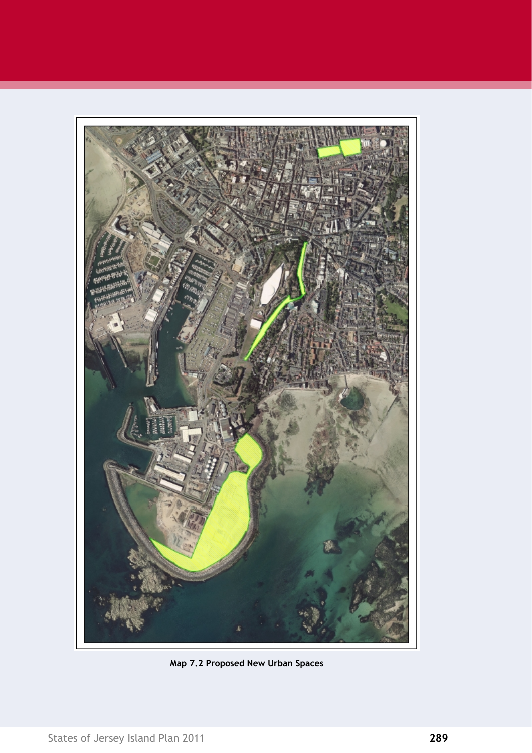

**Map 7.2 Proposed New Urban Spaces**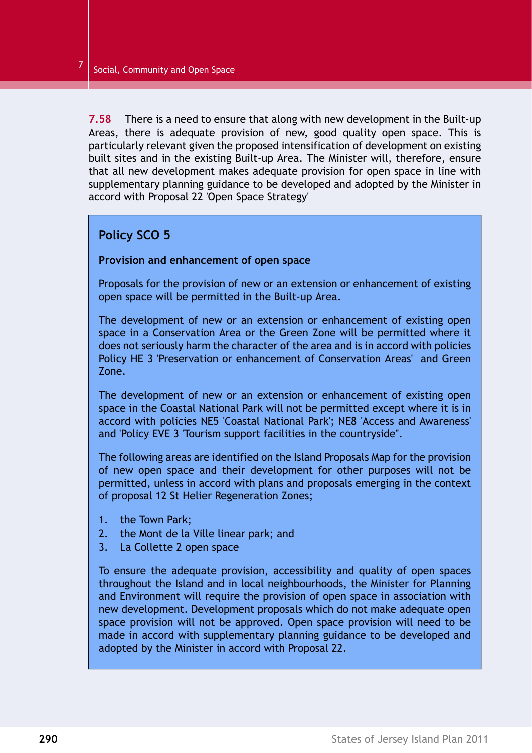**7.58** There is a need to ensure that along with new development in the Built-up Areas, there is adequate provision of new, good quality open space. This is particularly relevant given the proposed intensification of development on existing built sites and in the existing Built-up Area. The Minister will, therefore, ensure that all new development makes adequate provision for open space in line with supplementary planning guidance to be developed and adopted by the Minister in accord with Proposal 22 'Open Space [Strategy'](#page-15-0)

### <span id="page-19-0"></span>**Policy SCO 5**

#### **Provision and enhancement of open space**

Proposals for the provision of new or an extension or enhancement of existing open space will be permitted in the Built-up Area.

The development of new or an extension or enhancement of existing open space in a Conservation Area or the Green Zone will be permitted where it does not seriously harm the character of the area and is in accord with policies Policy HE 3 'Preservation or enhancement of Conservation Areas' and Green Zone.

The development of new or an extension or enhancement of existing open space in the Coastal National Park will not be permitted except where it is in accord with policies NE5 'Coastal National Park'; NE8 'Access and Awareness' and 'Policy EVE 3 'Tourism support facilities in the countryside''.

The following areas are identified on the Island Proposals Map for the provision of new open space and their development for other purposes will not be permitted, unless in accord with plans and proposals emerging in the context of proposal 12 St Helier Regeneration Zones;

- 1. the Town Park;
- 2. the Mont de la Ville linear park; and
- 3. La Collette 2 open space

To ensure the adequate provision, accessibility and quality of open spaces throughout the Island and in local neighbourhoods, the Minister for Planning and Environment will require the provision of open space in association with new development. Development proposals which do not make adequate open space provision will not be approved. Open space provision will need to be made in accord with supplementary planning guidance to be developed and adopted by the Minister in accord with Proposal 22.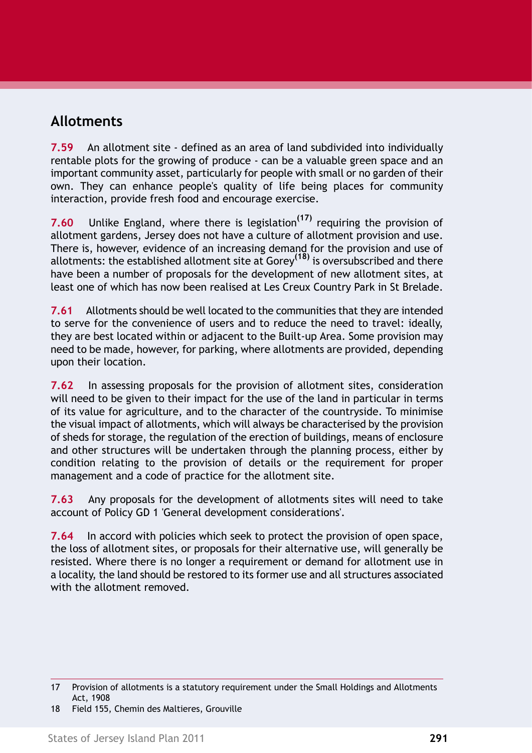# **Allotments**

**7.59** An allotment site - defined as an area of land subdivided into individually rentable plots for the growing of produce - can be a valuable green space and an important community asset, particularly for people with small or no garden of their own. They can enhance people's quality of life being places for community interaction, provide fresh food and encourage exercise.

**7.60** Unlike England, where there is legislation**(17)** requiring the provision of allotment gardens, Jersey does not have a culture of allotment provision and use. There is, however, evidence of an increasing demand for the provision and use of allotments: the established allotment site at Gorey**(18)** is oversubscribed and there have been a number of proposals for the development of new allotment sites, at least one of which has now been realised at Les Creux Country Park in St Brelade.

**7.61** Allotments should be well located to the communities that they are intended to serve for the convenience of users and to reduce the need to travel: ideally, they are best located within or adjacent to the Built-up Area. Some provision may need to be made, however, for parking, where allotments are provided, depending upon their location.

**7.62** In assessing proposals for the provision of allotment sites, consideration will need to be given to their impact for the use of the land in particular in terms of its value for agriculture, and to the character of the countryside. To minimise the visual impact of allotments, which will always be characterised by the provision of sheds for storage, the regulation of the erection of buildings, means of enclosure and other structures will be undertaken through the planning process, either by condition relating to the provision of details or the requirement for proper management and a code of practice for the allotment site.

**7.63** Any proposals for the development of allotments sites will need to take account of Policy GD 1 'General development considerations'.

**7.64** In accord with policies which seek to protect the provision of open space, the loss of allotment sites, or proposals for their alternative use, will generally be resisted. Where there is no longer a requirement or demand for allotment use in a locality, the land should be restored to its former use and all structures associated with the allotment removed.

<sup>17</sup> Provision of allotments is a statutory requirement under the Small Holdings and Allotments Act, 1908

<sup>18</sup> Field 155, Chemin des Maltieres, Grouville